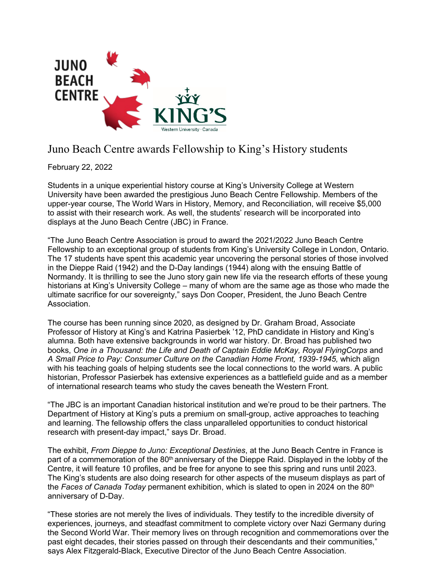

# Juno Beach Centre awards Fellowship to King's History students

February 22, 2022

Students in a unique experiential history course at King's University College at Western University have been awarded the prestigious Juno Beach Centre Fellowship. Members of the upper-year course, The World Wars in History, Memory, and Reconciliation, will receive \$5,000 to assist with their research work. As well, the students' research will be incorporated into displays at the Juno Beach Centre (JBC) in France.

"The Juno Beach Centre Association is proud to award the 2021/2022 Juno Beach Centre Fellowship to an exceptional group of students from King's University College in London, Ontario. The 17 students have spent this academic year uncovering the personal stories of those involved in the Dieppe Raid (1942) and the D-Day landings (1944) along with the ensuing Battle of Normandy. It is thrilling to see the Juno story gain new life via the research efforts of these young historians at King's University College – many of whom are the same age as those who made the ultimate sacrifice for our sovereignty," says Don Cooper, President, the Juno Beach Centre Association.

The course has been running since 2020, as designed by Dr. Graham Broad, Associate Professor of History at King's and Katrina Pasierbek '12, PhD candidate in History and King's alumna. Both have extensive backgrounds in world war history. Dr. Broad has published two books, *One in a Thousand: the Life and Death of Captain Eddie McKay, Royal FlyingCorps* and *A Small Price to Pay: Consumer Culture on the Canadian Home Front, 1939-1945,* which align with his teaching goals of helping students see the local connections to the world wars. A public historian, Professor Pasierbek has extensive experiences as a battlefield guide and as a member of international research teams who study the caves beneath the Western Front.

"The JBC is an important Canadian historical institution and we're proud to be their partners. The Department of History at King's puts a premium on small-group, active approaches to teaching and learning. The fellowship offers the class unparalleled opportunities to conduct historical research with present-day impact," says Dr. Broad.

The exhibit, *From Dieppe to Juno: Exceptional Destinies*, at the Juno Beach Centre in France is part of a commemoration of the 80<sup>th</sup> anniversary of the Dieppe Raid. Displayed in the lobby of the Centre, it will feature 10 profiles, and be free for anyone to see this spring and runs until 2023. The King's students are also doing research for other aspects of the museum displays as part of the *Faces of Canada Today* permanent exhibition, which is slated to open in 2024 on the 80<sup>th</sup> anniversary of D-Day.

"These stories are not merely the lives of individuals. They testify to the incredible diversity of experiences, journeys, and steadfast commitment to complete victory over Nazi Germany during the Second World War. Their memory lives on through recognition and commemorations over the past eight decades, their stories passed on through their descendants and their communities," says Alex Fitzgerald-Black, Executive Director of the Juno Beach Centre Association.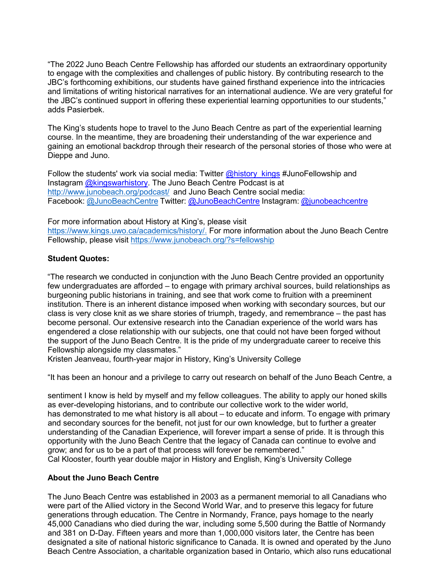"The 2022 Juno Beach Centre Fellowship has afforded our students an extraordinary opportunity to engage with the complexities and challenges of public history. By contributing research to the JBC's forthcoming exhibitions, our students have gained firsthand experience into the intricacies and limitations of writing historical narratives for an international audience. We are very grateful for the JBC's continued support in offering these experiential learning opportunities to our students," adds Pasierbek.

The King's students hope to travel to the Juno Beach Centre as part of the experiential learning course. In the meantime, they are broadening their understanding of the war experience and gaining an emotional backdrop through their research of the personal stories of those who were at Dieppe and Juno.

Follow the students' work via social media: Twitter  $@$ history kings #JunoFellowship and Instagram [@kingswarhistory.](https://www.instagram.com/kingswarhistory/) The Juno Beach Centre Podcast is at <http://www.junobeach.org/podcast/> and Juno Beach Centre social media: [Facebook:](http://www.junobeach.org/podcast/) [@JunoBeachCentre](https://twitter.com/JunoBeachCentre) Twitter: @JunoBeachCentre Instagram: [@junobeachcentre](https://www.instagram.com/junobeachcentre/)

For more information about History at King's, please visit [https://www.kings.uwo.ca/academics/history/.](http://www.kings.uwo.ca/academics/history/) For more information about the Juno Beach Centre [Fellowship,](https://www.kings.uwo.ca/academics/history/) please visit [https://www.junobeach.org/?s=fellowsh](http://www.junobeach.org/?s=fellowship)ip

## **Student Quotes:**

"The research we conducted in conjunction with the Juno Beach Centre provided an opportunity few undergraduates are afforded – to engage with primary archival sources, build relationships as burgeoning public historians in training, and see that work come to fruition with a preeminent institution. There is an inherent distance imposed when working with secondary sources, but our class is very close knit as we share stories of triumph, tragedy, and remembrance – the past has become personal. Our extensive research into the Canadian experience of the world wars has engendered a close relationship with our subjects, one that could not have been forged without the support of the Juno Beach Centre. It is the pride of my undergraduate career to receive this Fellowship alongside my classmates."

Kristen Jeanveau, fourth-year major in History, King's University College

"It has been an honour and a privilege to carry out research on behalf of the Juno Beach Centre, a

sentiment I know is held by myself and my fellow colleagues. The ability to apply our honed skills as ever-developing historians, and to contribute our collective work to the wider world, has demonstrated to me what history is all about – to educate and inform. To engage with primary and secondary sources for the benefit, not just for our own knowledge, but to further a greater understanding of the Canadian Experience, will forever impart a sense of pride. It is through this opportunity with the Juno Beach Centre that the legacy of Canada can continue to evolve and grow; and for us to be a part of that process will forever be remembered." Cal Klooster, fourth year double major in History and English, King's University College

## **About the Juno Beach Centre**

The Juno Beach Centre was established in 2003 as a permanent memorial to all Canadians who were part of the Allied victory in the Second World War, and to preserve this legacy for future generations through education. The Centre in Normandy, France, pays homage to the nearly 45,000 Canadians who died during the war, including some 5,500 during the Battle of Normandy and 381 on D-Day. Fifteen years and more than 1,000,000 visitors later, the Centre has been designated a site of national historic significance to Canada. It is owned and operated by the Juno Beach Centre Association, a charitable organization based in Ontario, which also runs educational